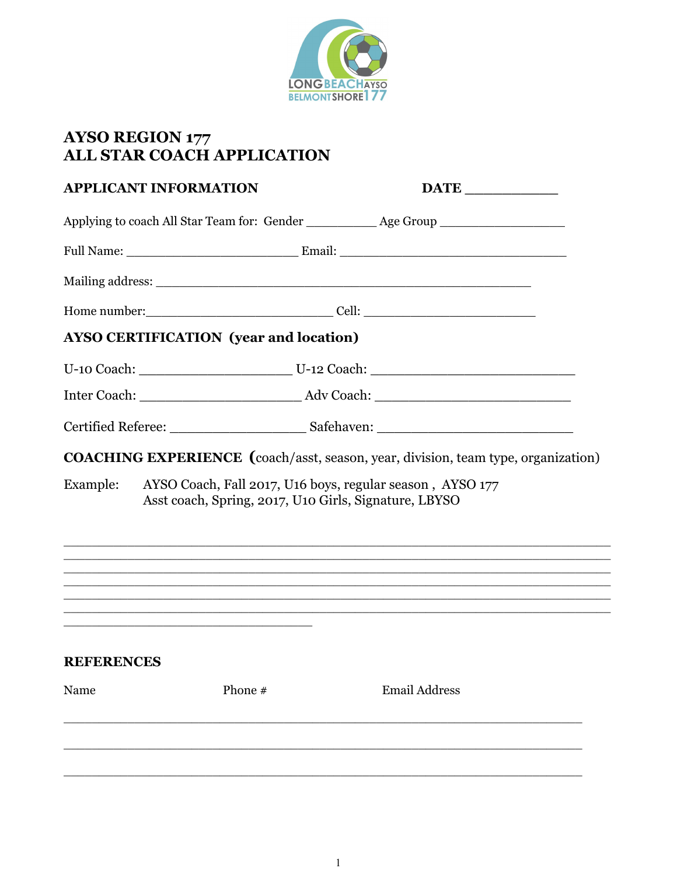

## **AYSO REGION 177<br>ALL STAR COACH APPLICATION**

| <b>APPLICANT INFORMATION</b> |                                                                                                                  | $\overline{\text{DATE}}$                                                                                                                                       |  |
|------------------------------|------------------------------------------------------------------------------------------------------------------|----------------------------------------------------------------------------------------------------------------------------------------------------------------|--|
|                              |                                                                                                                  | Applying to coach All Star Team for: Gender ____________ Age Group ______________                                                                              |  |
|                              |                                                                                                                  |                                                                                                                                                                |  |
|                              |                                                                                                                  |                                                                                                                                                                |  |
|                              |                                                                                                                  |                                                                                                                                                                |  |
|                              | <b>AYSO CERTIFICATION (year and location)</b>                                                                    |                                                                                                                                                                |  |
|                              |                                                                                                                  |                                                                                                                                                                |  |
|                              |                                                                                                                  |                                                                                                                                                                |  |
|                              |                                                                                                                  |                                                                                                                                                                |  |
|                              | Asst coach, Spring, 2017, U10 Girls, Signature, LBYSO                                                            | <b>COACHING EXPERIENCE</b> (coach/asst, season, year, division, team type, organization)<br>Example: AYSO Coach, Fall 2017, U16 boys, regular season, AYSO 177 |  |
|                              | and the control of the control of the control of the control of the control of the control of the control of the |                                                                                                                                                                |  |
|                              |                                                                                                                  |                                                                                                                                                                |  |
|                              | <u> 1989 - Johann Stoff, amerikansk politiker (d. 1989)</u>                                                      |                                                                                                                                                                |  |
| <b>REFERENCES</b>            |                                                                                                                  |                                                                                                                                                                |  |
| Name                         | Phone #                                                                                                          | <b>Email Address</b>                                                                                                                                           |  |
|                              |                                                                                                                  |                                                                                                                                                                |  |